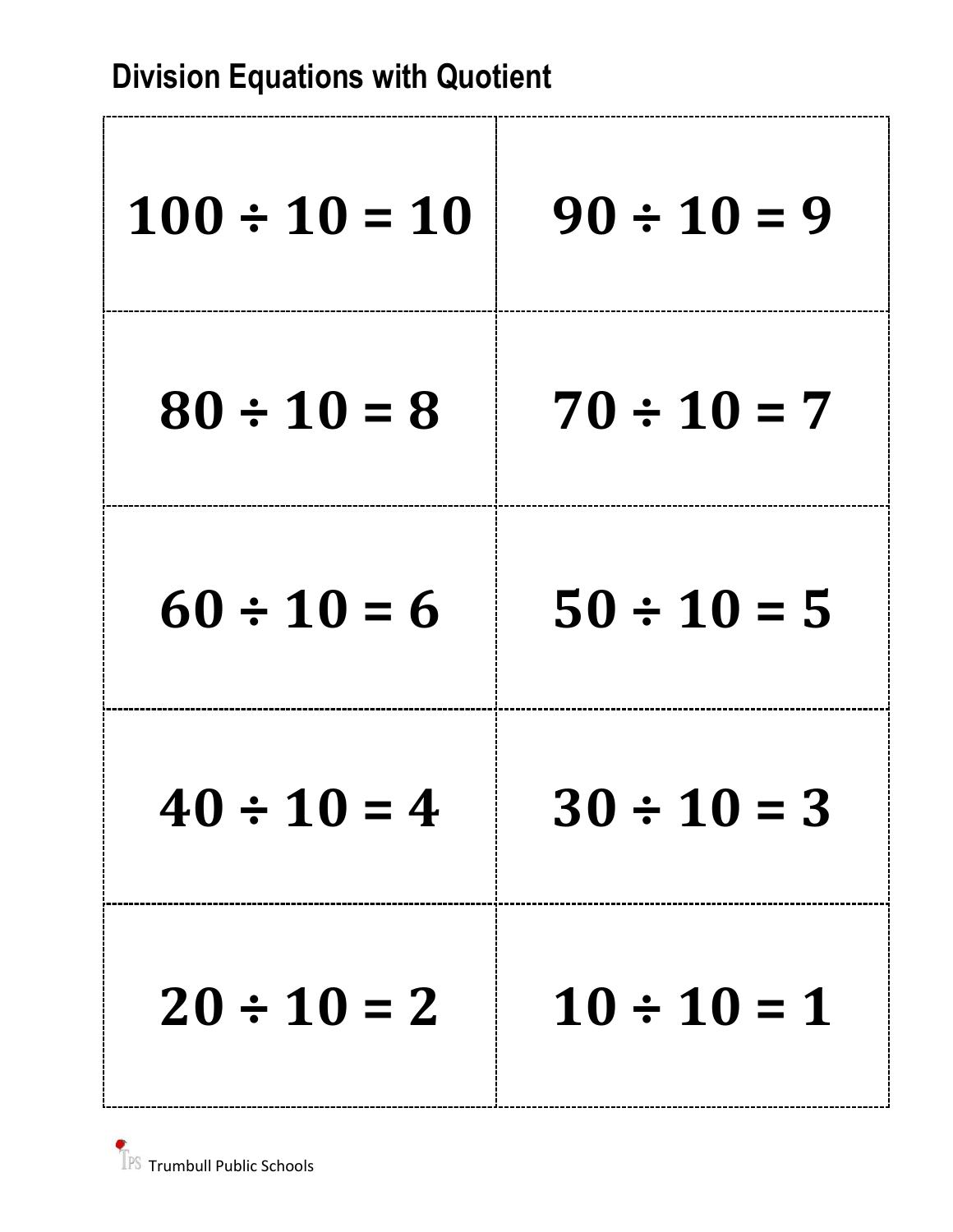| $100 \div 10 = 10$ | $90 \div 10 = 9$ |
|--------------------|------------------|
| $80 \div 10 = 8$   | $70 \div 10 = 7$ |
| $60 \div 10 = 6$   | $50 \div 10 = 5$ |
| $40 \div 10 = 4$   | $30 \div 10 = 3$ |
| $20 \div 10 = 2$   | $10 \div 10 = 1$ |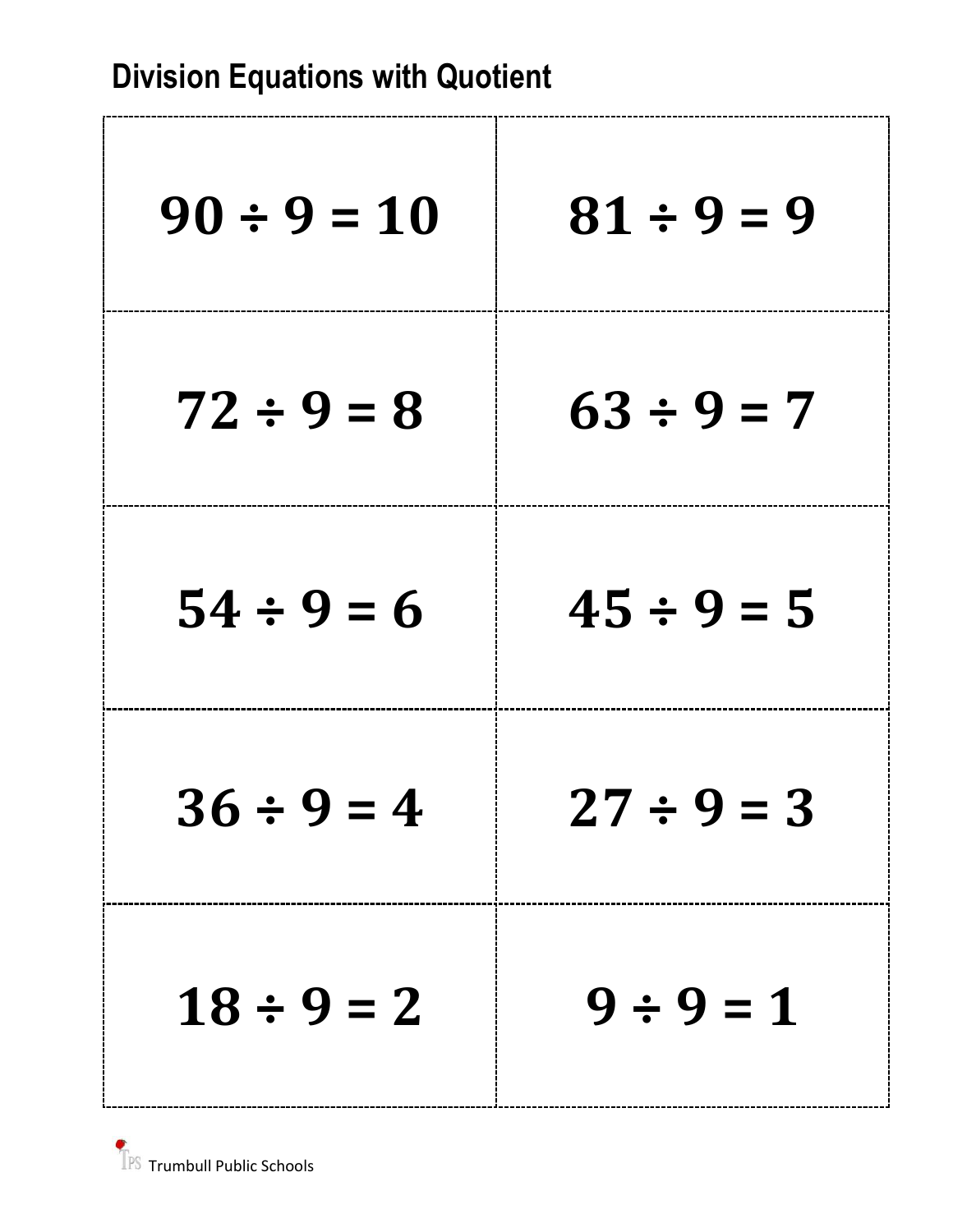| $90 \div 9 = 10$ | $81 \div 9 = 9$ |
|------------------|-----------------|
| $72 \div 9 = 8$  | $63 \div 9 = 7$ |
| $54 \div 9 = 6$  | $45 \div 9 = 5$ |
| $36 \div 9 = 4$  | $27 \div 9 = 3$ |
| $18 \div 9 = 2$  | $9 \div 9 = 1$  |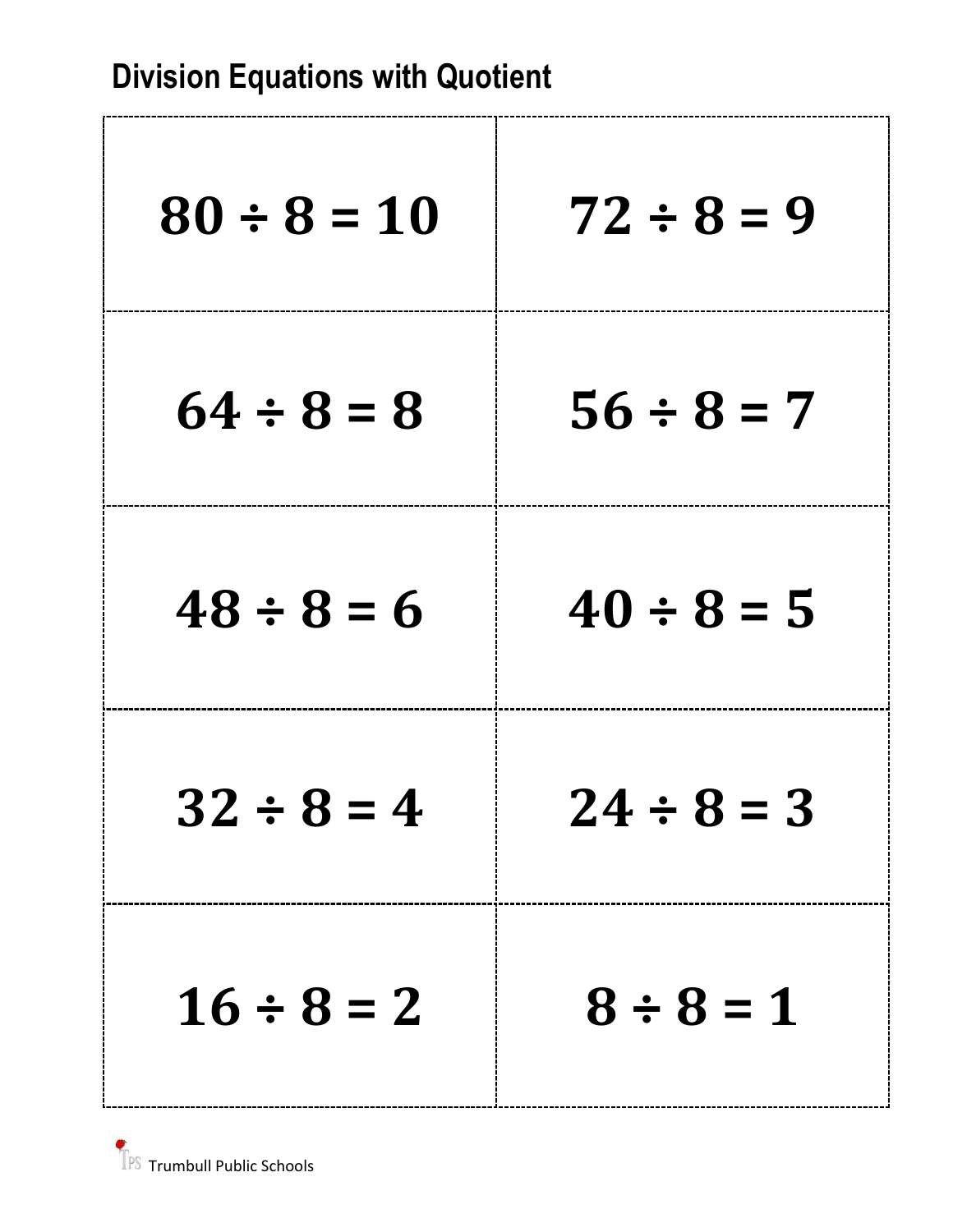| $80 \div 8 = 10$ | $72 \div 8 = 9$ |
|------------------|-----------------|
| $64 \div 8 = 8$  | $56 \div 8 = 7$ |
| $48 \div 8 = 6$  | $40 \div 8 = 5$ |
| $32 \div 8 = 4$  | $24 \div 8 = 3$ |
| $16 \div 8 = 2$  | $8 \div 8 = 1$  |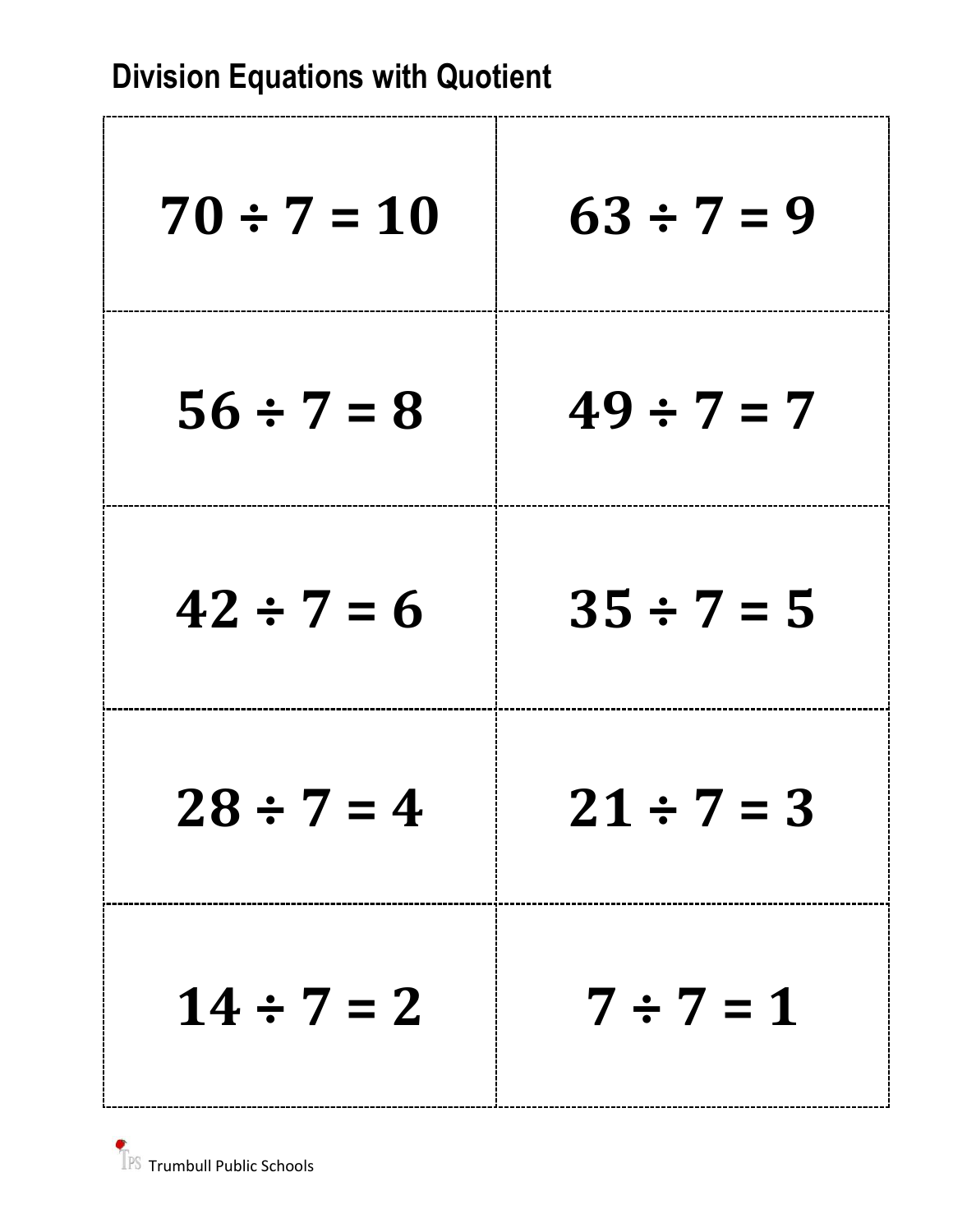| <b>Division Equations with Quotient</b> |                 |
|-----------------------------------------|-----------------|
| $70 \div 7 = 10$                        | $63 \div 7 = 9$ |
| $56 \div 7 = 8$                         | $49 \div 7 = 7$ |
| $42 \div 7 = 6$                         | $35 \div 7 = 5$ |
| $28 \div 7 = 4$                         | $21 \div 7 = 3$ |
| $14 \div 7 = 2$                         | $7 \div 7 = 1$  |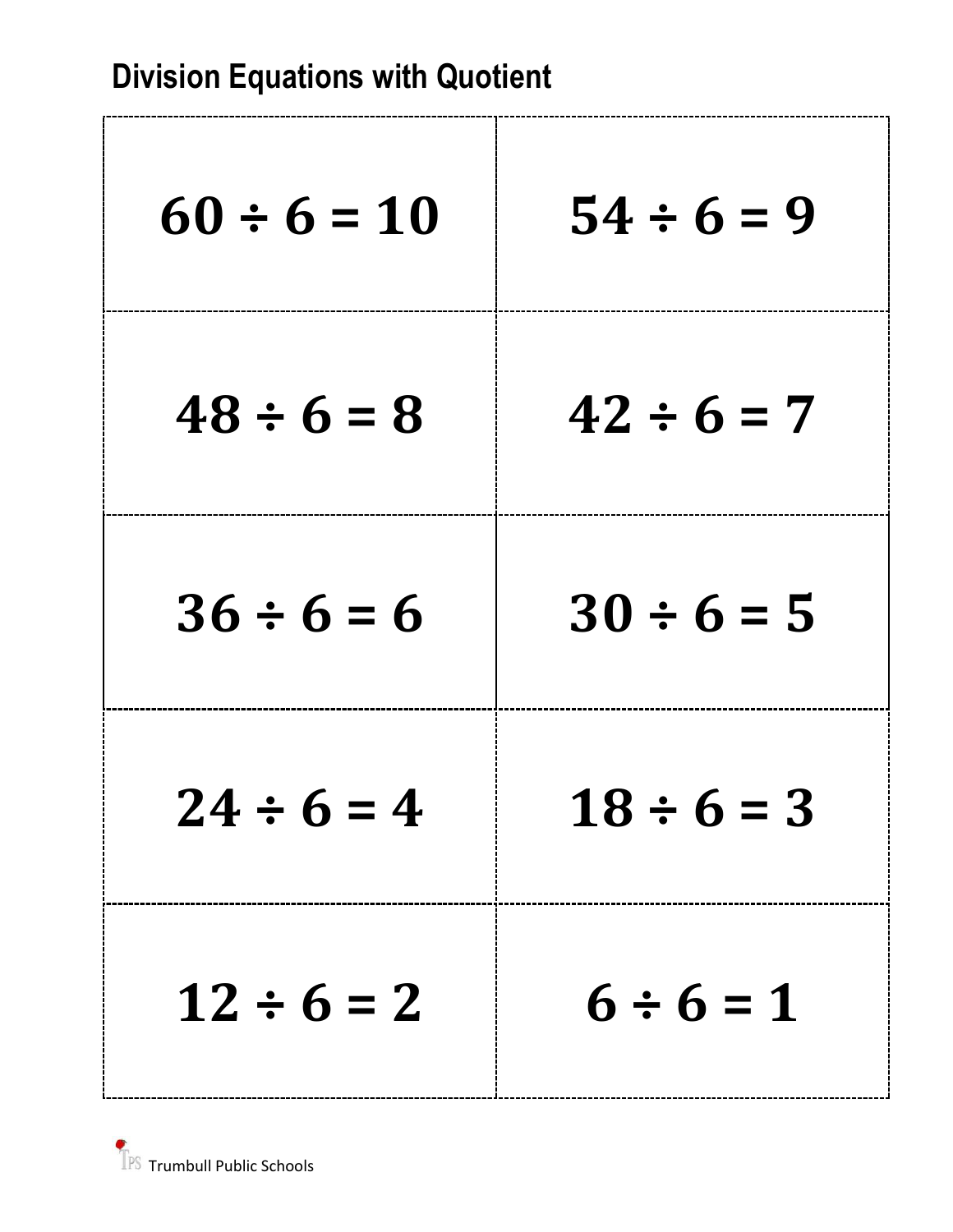| $60 \div 6 = 10$ | $54 \div 6 = 9$ |
|------------------|-----------------|
| $48 \div 6 = 8$  | $42 \div 6 = 7$ |
| $36 \div 6 = 6$  | $30 \div 6 = 5$ |
| $24 \div 6 = 4$  | $18 \div 6 = 3$ |
| $12 \div 6 = 2$  | $6 \div 6 = 1$  |

TPS Trumbull Public Schools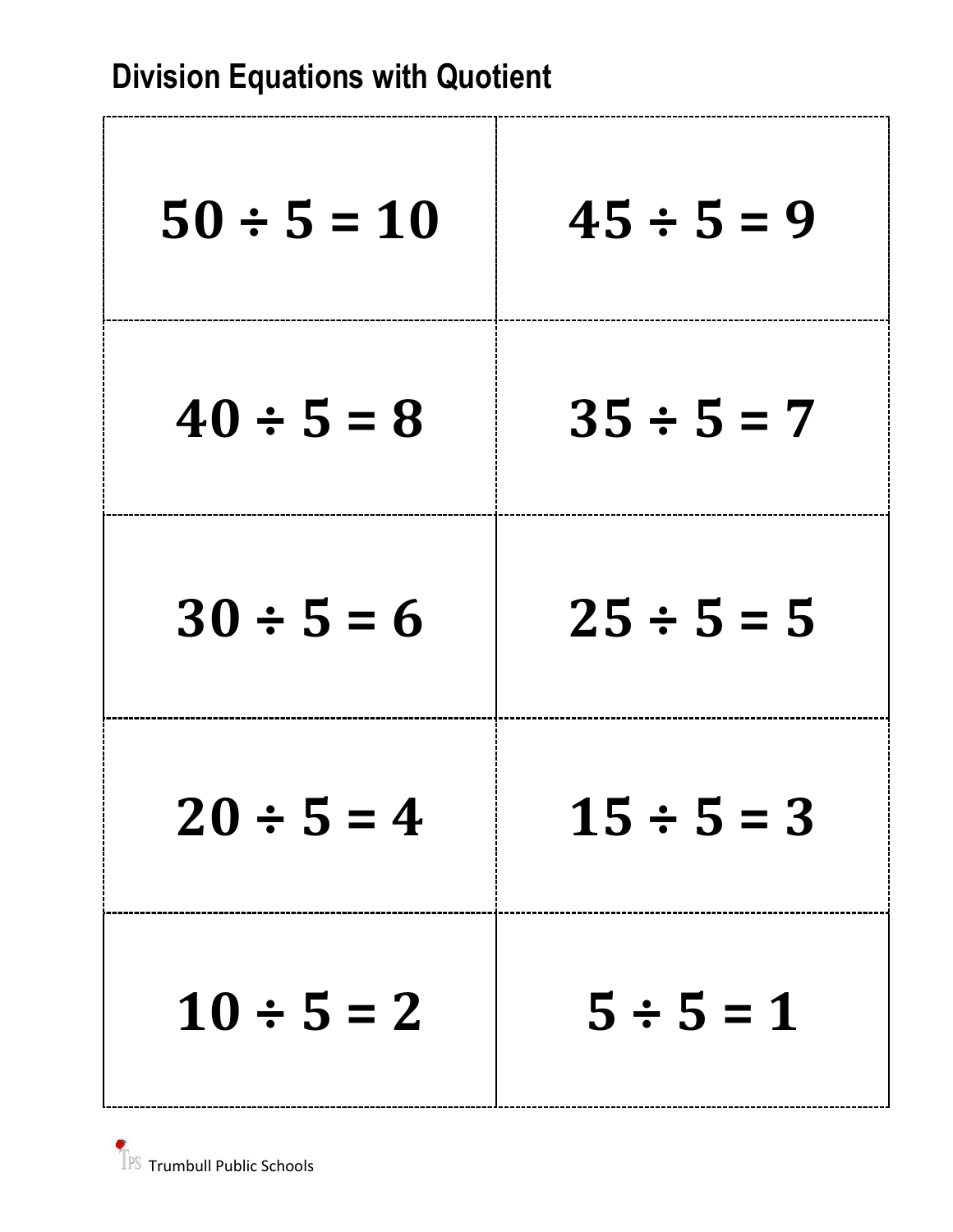| $50 \div 5 = 10$ | $45 \div 5 = 9$ |
|------------------|-----------------|
| $40 \div 5 = 8$  | $35 \div 5 = 7$ |
| $30 \div 5 = 6$  | $25 \div 5 = 5$ |
| $20 \div 5 = 4$  | $15 \div 5 = 3$ |
| $10 \div 5 = 2$  | $5 \div 5 = 1$  |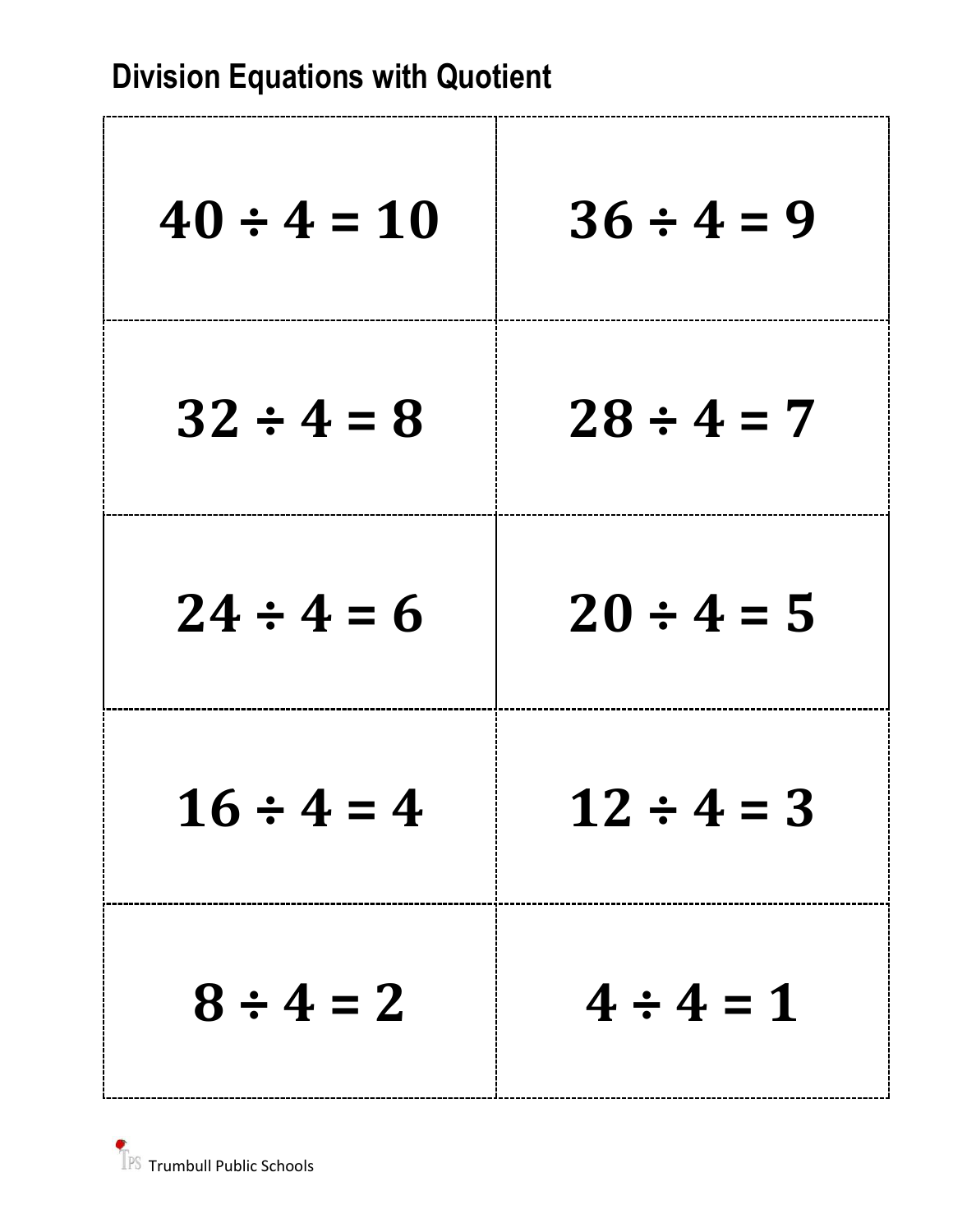ľ

| $40 \div 4 = 10$ | $36 \div 4 = 9$ |
|------------------|-----------------|
| $32 \div 4 = 8$  | $28 \div 4 = 7$ |
| $24 \div 4 = 6$  | $20 \div 4 = 5$ |
| $16 \div 4 = 4$  | $12 \div 4 = 3$ |
| $8 \div 4 = 2$   | $4 \div 4 = 1$  |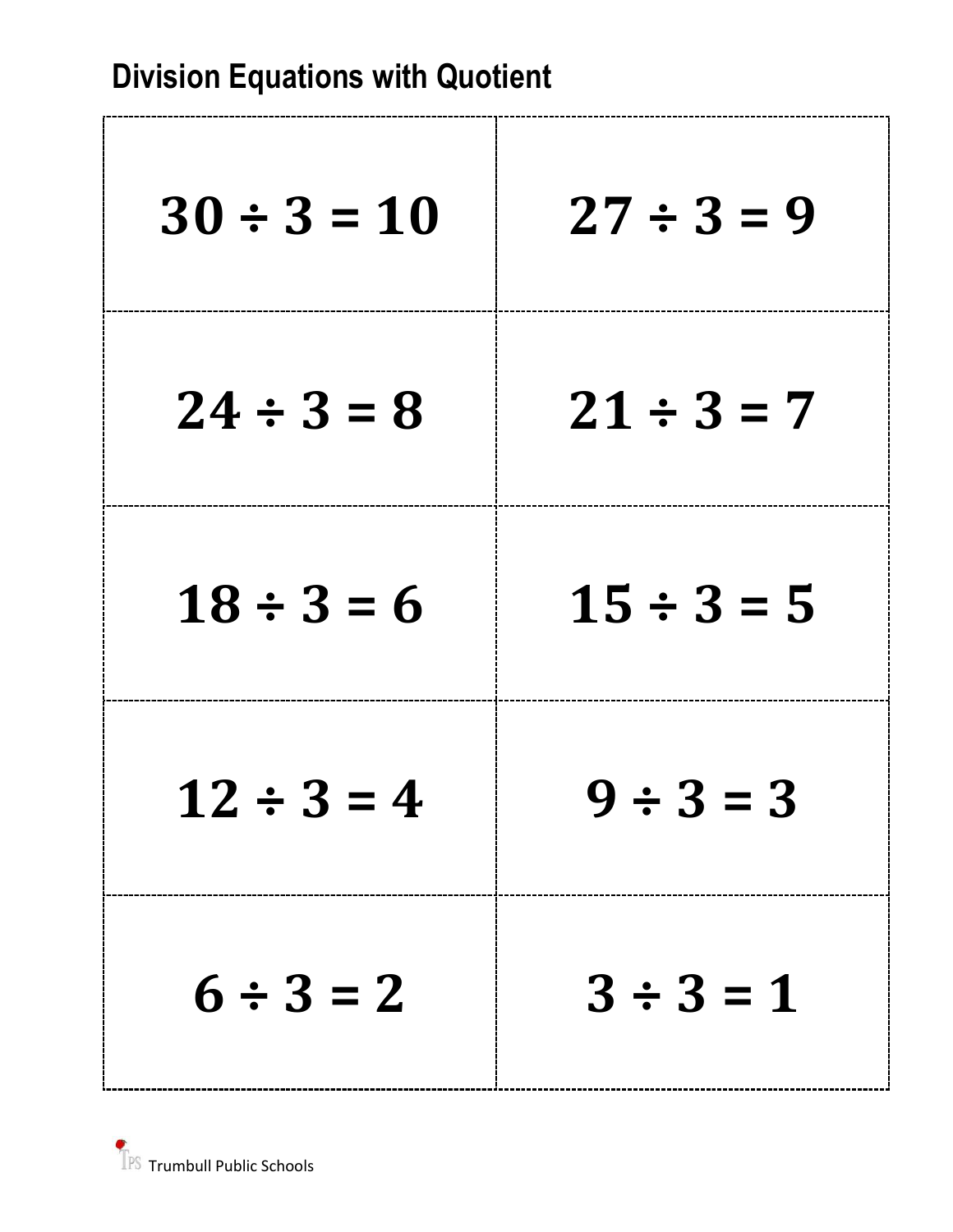| <b>Division Equations with Quotient</b> |  |  |
|-----------------------------------------|--|--|
|-----------------------------------------|--|--|

r.

| $30 \div 3 = 10$ | $27 \div 3 = 9$ |
|------------------|-----------------|
| $24 \div 3 = 8$  | $21 \div 3 = 7$ |
| $18 \div 3 = 6$  | $15 \div 3 = 5$ |
| $12 \div 3 = 4$  | ソーコニコ           |
| $6 \div 3 = 2$   | $3 \div 3 = 1$  |

٦.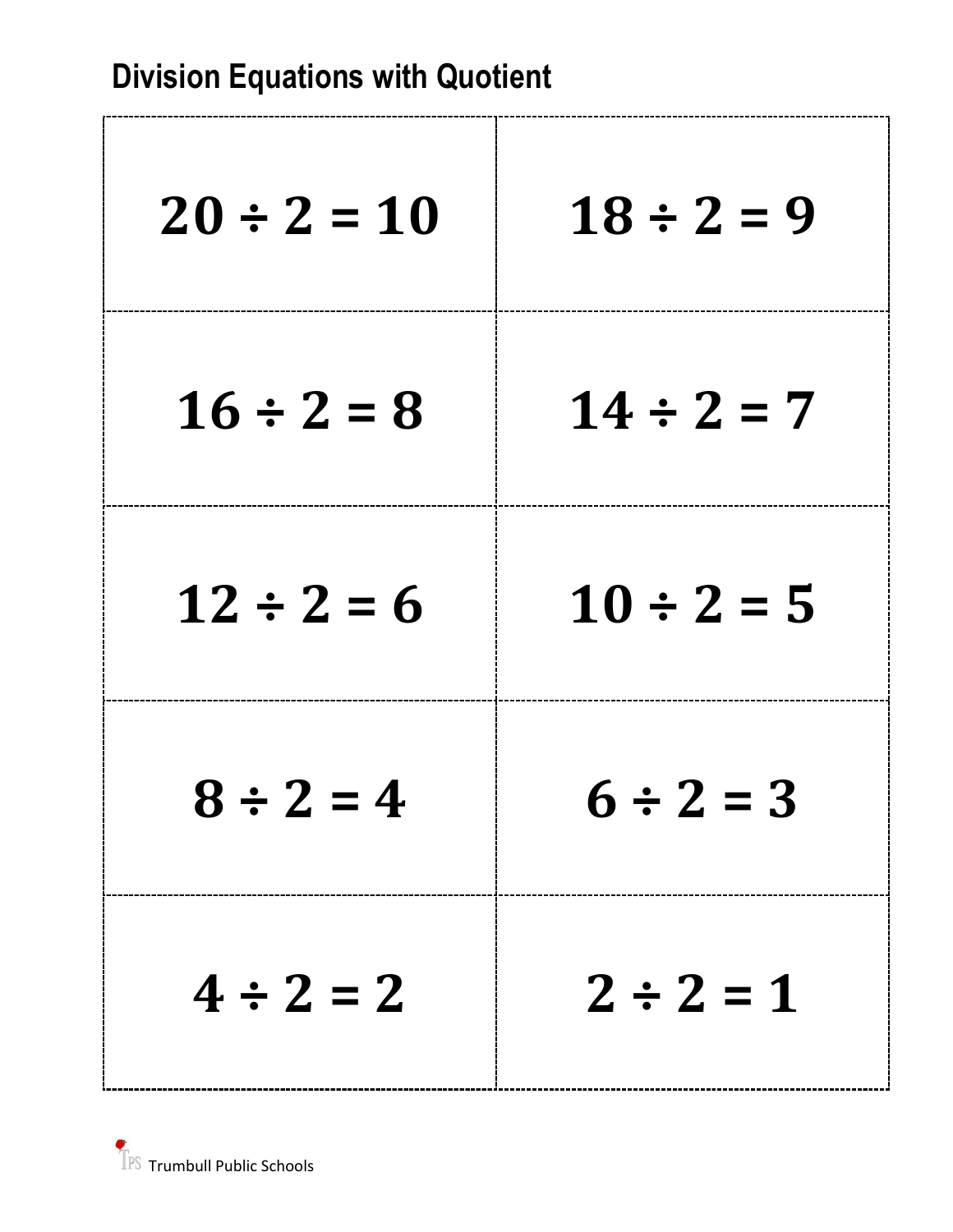| $20 \div 2 = 10$ | $18 \div 2 = 9$ |
|------------------|-----------------|
| $16 \div 2 = 8$  | $14 \div 2 = 7$ |
| $12 \div 2 = 6$  | $10 \div 2 = 5$ |
| $8 \div 2 = 4$   | $6 \div 2 = 3$  |
| $4 \div 2 = 2$   | $2 \div 2 = 1$  |